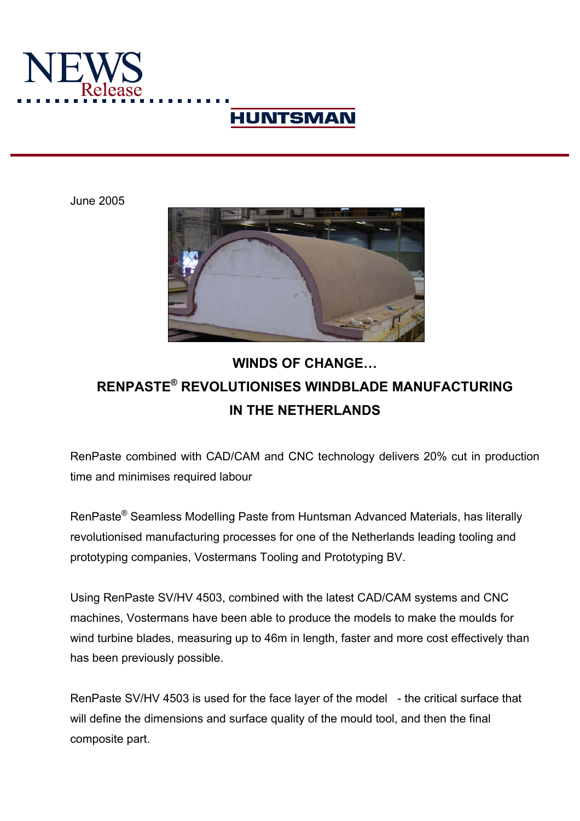

# **HUNTSMAN**

June 2005



# **WINDS OF CHANGE… RENPASTE® REVOLUTIONISES WINDBLADE MANUFACTURING IN THE NETHERLANDS**

RenPaste combined with CAD/CAM and CNC technology delivers 20% cut in production time and minimises required labour

RenPaste® Seamless Modelling Paste from Huntsman Advanced Materials, has literally revolutionised manufacturing processes for one of the Netherlands leading tooling and prototyping companies, Vostermans Tooling and Prototyping BV.

Using RenPaste SV/HV 4503, combined with the latest CAD/CAM systems and CNC machines, Vostermans have been able to produce the models to make the moulds for wind turbine blades, measuring up to 46m in length, faster and more cost effectively than has been previously possible.

RenPaste SV/HV 4503 is used for the face layer of the model - the critical surface that will define the dimensions and surface quality of the mould tool, and then the final composite part.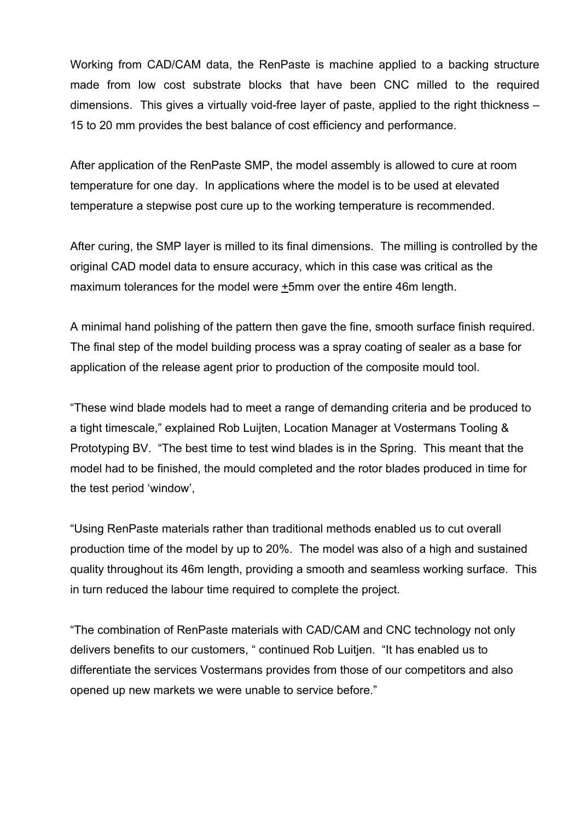Working from CAD/CAM data, the RenPaste is machine applied to a backing structure made from low cost substrate blocks that have been CNC milled to the required dimensions. This gives a virtually void-free layer of paste, applied to the right thickness – 15 to 20 mm provides the best balance of cost efficiency and performance.

After application of the RenPaste SMP, the model assembly is allowed to cure at room temperature for one day. In applications where the model is to be used at elevated temperature a stepwise post cure up to the working temperature is recommended.

After curing, the SMP layer is milled to its final dimensions. The milling is controlled by the original CAD model data to ensure accuracy, which in this case was critical as the maximum tolerances for the model were +5mm over the entire 46m length.

A minimal hand polishing of the pattern then gave the fine, smooth surface finish required. The final step of the model building process was a spray coating of sealer as a base for application of the release agent prior to production of the composite mould tool.

"These wind blade models had to meet a range of demanding criteria and be produced to a tight timescale," explained Rob Luijten, Location Manager at Vostermans Tooling & Prototyping BV. "The best time to test wind blades is in the Spring. This meant that the model had to be finished, the mould completed and the rotor blades produced in time for the test period 'window',

"Using RenPaste materials rather than traditional methods enabled us to cut overall production time of the model by up to 20%. The model was also of a high and sustained quality throughout its 46m length, providing a smooth and seamless working surface. This in turn reduced the labour time required to complete the project.

"The combination of RenPaste materials with CAD/CAM and CNC technology not only delivers benefits to our customers, " continued Rob Luitjen. "It has enabled us to differentiate the services Vostermans provides from those of our competitors and also opened up new markets we were unable to service before."